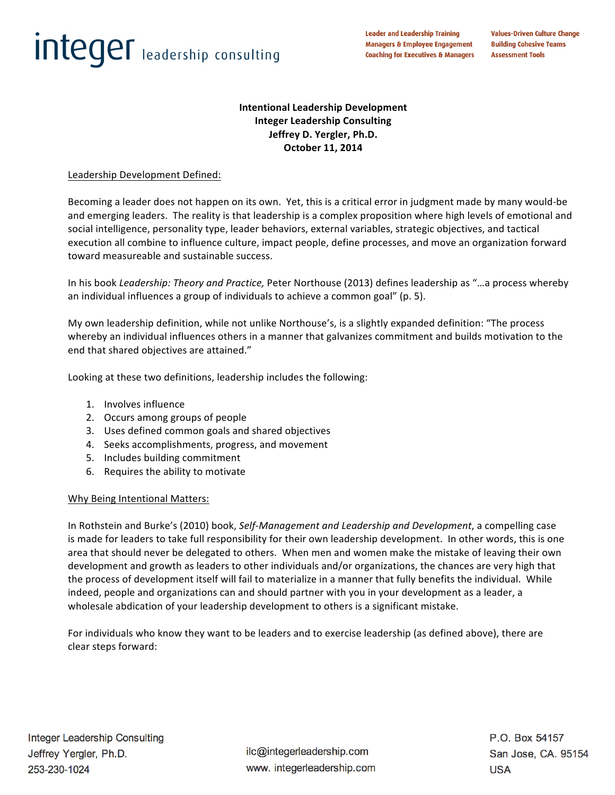# **Integer** leadership consulting

**Leader and Leadership Training Managers & Employee Engagement Coaching for Executives & Managers** 

# **Intentional Leadership Development Integer Leadership Consulting Jeffrey D. Yergler, Ph.D. October 11, 2014**

# Leadership Development Defined:

Becoming a leader does not happen on its own. Yet, this is a critical error in judgment made by many would-be and emerging leaders. The reality is that leadership is a complex proposition where high levels of emotional and social intelligence, personality type, leader behaviors, external variables, strategic objectives, and tactical execution all combine to influence culture, impact people, define processes, and move an organization forward toward measureable and sustainable success.

In his book *Leadership: Theory and Practice,* Peter Northouse (2013) defines leadership as "...a process whereby an individual influences a group of individuals to achieve a common goal" (p. 5).

My own leadership definition, while not unlike Northouse's, is a slightly expanded definition: "The process whereby an individual influences others in a manner that galvanizes commitment and builds motivation to the end that shared objectives are attained."

Looking at these two definitions, leadership includes the following:

- 1. Involves influence
- 2. Occurs among groups of people
- 3. Uses defined common goals and shared objectives
- 4. Seeks accomplishments, progress, and movement
- 5. Includes building commitment
- 6. Requires the ability to motivate

#### Why Being Intentional Matters:

In Rothstein and Burke's (2010) book, Self-Management and Leadership and Development, a compelling case is made for leaders to take full responsibility for their own leadership development. In other words, this is one area that should never be delegated to others. When men and women make the mistake of leaving their own development and growth as leaders to other individuals and/or organizations, the chances are very high that the process of development itself will fail to materialize in a manner that fully benefits the individual. While indeed, people and organizations can and should partner with you in your development as a leader, a wholesale abdication of your leadership development to others is a significant mistake.

For individuals who know they want to be leaders and to exercise leadership (as defined above), there are clear steps forward:

ilc@integerleadership.com www. integerleadership.com P.O. Box 54157 San Jose, CA. 95154 **USA**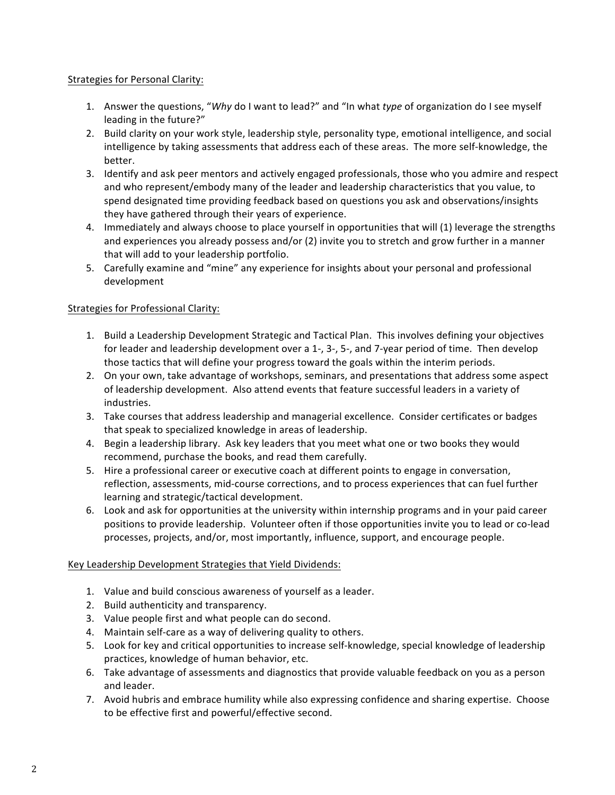## Strategies for Personal Clarity:

- 1. Answer the questions, "Why do I want to lead?" and "In what *type* of organization do I see myself leading in the future?"
- 2. Build clarity on your work style, leadership style, personality type, emotional intelligence, and social intelligence by taking assessments that address each of these areas. The more self-knowledge, the better.
- 3. Identify and ask peer mentors and actively engaged professionals, those who you admire and respect and who represent/embody many of the leader and leadership characteristics that you value, to spend designated time providing feedback based on questions you ask and observations/insights they have gathered through their years of experience.
- 4. Immediately and always choose to place yourself in opportunities that will (1) leverage the strengths and experiences you already possess and/or (2) invite you to stretch and grow further in a manner that will add to your leadership portfolio.
- 5. Carefully examine and "mine" any experience for insights about your personal and professional development

## Strategies for Professional Clarity:

- 1. Build a Leadership Development Strategic and Tactical Plan. This involves defining your objectives for leader and leadership development over a 1-,  $3-$ ,  $5-$ , and  $7-$ year period of time. Then develop those tactics that will define your progress toward the goals within the interim periods.
- 2. On your own, take advantage of workshops, seminars, and presentations that address some aspect of leadership development. Also attend events that feature successful leaders in a variety of industries.
- 3. Take courses that address leadership and managerial excellence. Consider certificates or badges that speak to specialized knowledge in areas of leadership.
- 4. Begin a leadership library. Ask key leaders that you meet what one or two books they would recommend, purchase the books, and read them carefully.
- 5. Hire a professional career or executive coach at different points to engage in conversation, reflection, assessments, mid-course corrections, and to process experiences that can fuel further learning and strategic/tactical development.
- 6. Look and ask for opportunities at the university within internship programs and in your paid career positions to provide leadership. Volunteer often if those opportunities invite you to lead or co-lead processes, projects, and/or, most importantly, influence, support, and encourage people.

#### Key Leadership Development Strategies that Yield Dividends:

- 1. Value and build conscious awareness of yourself as a leader.
- 2. Build authenticity and transparency.
- 3. Value people first and what people can do second.
- 4. Maintain self-care as a way of delivering quality to others.
- 5. Look for key and critical opportunities to increase self-knowledge, special knowledge of leadership practices, knowledge of human behavior, etc.
- 6. Take advantage of assessments and diagnostics that provide valuable feedback on you as a person and leader.
- 7. Avoid hubris and embrace humility while also expressing confidence and sharing expertise. Choose to be effective first and powerful/effective second.